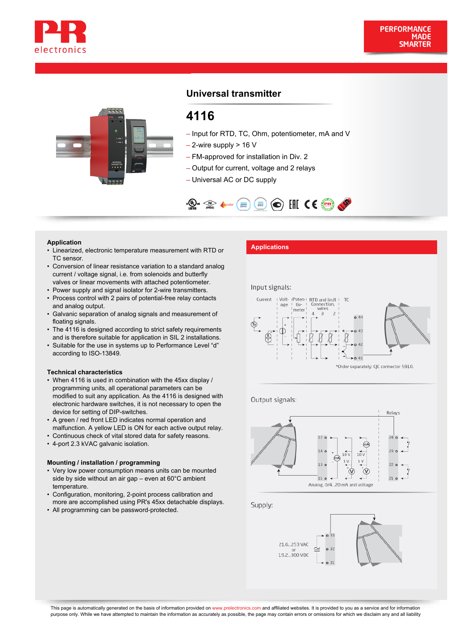



# **Universal transmitter**

# **4116**

- Input for RTD, TC, Ohm, potentiometer, mA and V
- $-$  2-wire supply  $> 16$  V
- FM-approved for installation in Div. 2
- Output for current, voltage and 2 relays
- Universal AC or DC supply



- Application<br>• Linearized, electronic temperature measurement with RTD or **Applications** TC sensor.
- Conversion of linear resistance variation to a standard analog current / voltage signal, i.e. from solenoids and butterfly valves or linear movements with attached potentiometer.
- Power supply and signal isolator for 2-wire transmitters.
- Process control with 2 pairs of potential-free relay contacts and analog output.
- Galvanic separation of analog signals and measurement of floating signals.
- The 4116 is designed according to strict safety requirements and is therefore suitable for application in SIL 2 installations.
- Suitable for the use in systems up to Performance Level "d" according to ISO-13849.

#### **Technical characteristics**

- When 4116 is used in combination with the 45xx display / programming units, all operational parameters can be modified to suit any application. As the 4116 is designed with electronic hardware switches, it is not necessary to open the device for setting of DIP-switches.
- A green / red front LED indicates normal operation and malfunction. A yellow LED is ON for each active output relay.
- Continuous check of vital stored data for safety reasons.
- 4-port 2.3 kVAC galvanic isolation.

#### **Mounting / installation / programming**

- Very low power consumption means units can be mounted side by side without an air gap – even at 60°C ambient temperature.
- Configuration, monitoring, 2-point process calibration and more are accomplished using PR's 45xx detachable displays.
- All programming can be password-protected.

#### Input signals:



Output signals:



Supply:

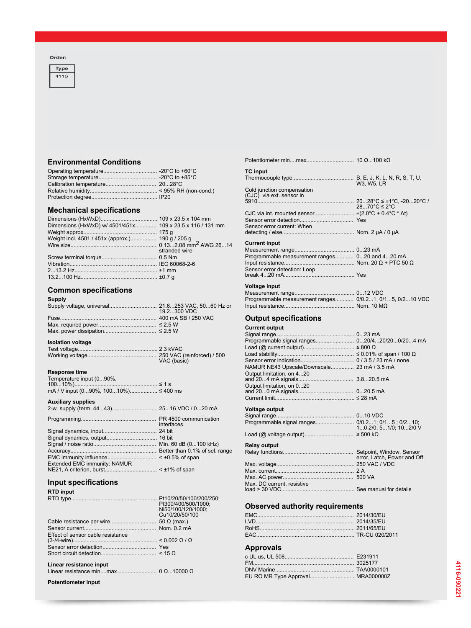#### Order:



# **Environmental Conditions**

# **Mechanical specifications**

| Dimensions (HxWxD) w/ 4501/451x 109 x 23.5 x 116 / 131 mm |               |
|-----------------------------------------------------------|---------------|
|                                                           |               |
| Weight incl. 4501 / 451x (approx.) 190 g / 205 g          |               |
|                                                           |               |
|                                                           | stranded wire |
|                                                           |               |
|                                                           |               |
|                                                           |               |
|                                                           |               |
|                                                           |               |

### **Common specifications**

| <b>Supply</b> |              |
|---------------|--------------|
|               |              |
|               | 19.2.300 VDC |
|               |              |
|               |              |
|               |              |

## **Isolation voltage**

| VAC (basic) |
|-------------|

#### **Response time**

| Temperature input (090%,             |  |
|--------------------------------------|--|
|                                      |  |
| mA / V input (090%, 10010%) ≤ 400 ms |  |

#### **Auxiliary supplies**

| interfaces |
|------------|
|            |

| Extended EMC immunity: NAMUR |  |
|------------------------------|--|
|                              |  |

### **Input specifications**

| <b>RTD input</b>                  |                     |
|-----------------------------------|---------------------|
|                                   | Pt300/400/500/1000: |
|                                   | Ni50/100/120/1000;  |
|                                   | Cu10/20/50/100      |
|                                   |                     |
|                                   |                     |
| Effect of sensor cable resistance |                     |
|                                   |                     |
|                                   |                     |
|                                   |                     |
| Linear resistance input           |                     |
|                                   |                     |

**Potentiometer input**

| <b>TC</b> input                                |                    |
|------------------------------------------------|--------------------|
|                                                | W3. W5. LR         |
| Cold junction compensation                     |                    |
| (CJC) via ext. sensor in                       |                    |
|                                                | 28 70°C $\leq$ 2°C |
|                                                |                    |
|                                                |                    |
| Sensor error current: When                     |                    |
|                                                |                    |
| <b>Current input</b>                           |                    |
|                                                |                    |
| Programmable measurement ranges 020 and 420 mA |                    |
|                                                |                    |
| Sensor error detection: Loop                   |                    |
|                                                |                    |

Potentiometer min....max............................... 10 Ω...100 kΩ

| Voltage input                                           |  |
|---------------------------------------------------------|--|
|                                                         |  |
| Programmable measurement ranges 0/0.21, 0/15, 0/210 VDC |  |
|                                                         |  |

### **Output specifications**

### **Current output**

| Programmable signal ranges 020/420/200/204 mA   |                             |
|-------------------------------------------------|-----------------------------|
|                                                 |                             |
|                                                 |                             |
|                                                 |                             |
| NAMUR NE43 Upscale/Downscale 23 mA / 3.5 mA     |                             |
| Output limitation, on 420                       |                             |
|                                                 |                             |
| Output limitation, on 020                       |                             |
|                                                 |                             |
|                                                 |                             |
| Voltage output                                  |                             |
|                                                 |                             |
| Programmable signal ranges 0/0.21; 0/15; 0/210; |                             |
|                                                 | 10.2/0; 51/0; 102/0 V       |
|                                                 |                             |
| <b>Relay output</b>                             |                             |
|                                                 |                             |
|                                                 | error, Latch, Power and Off |
|                                                 |                             |
|                                                 |                             |
|                                                 |                             |
| Max. DC current, resistive                      |                             |
|                                                 |                             |

# **Observed authority requirements**

### **Approvals**

| EU RO MR Type Approval MRA000000Z |
|-----------------------------------|
|                                   |